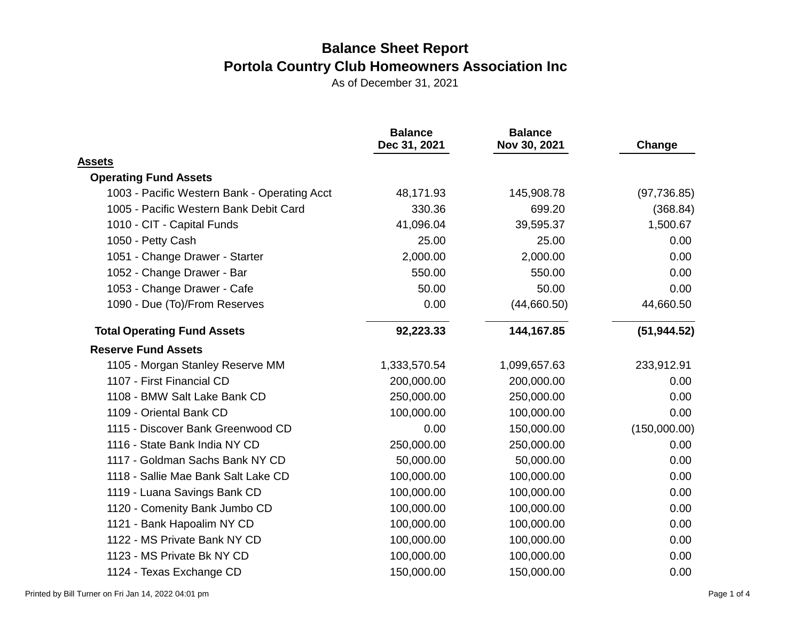|                                              | <b>Balance</b><br>Dec 31, 2021 | <b>Balance</b><br>Nov 30, 2021 | Change       |
|----------------------------------------------|--------------------------------|--------------------------------|--------------|
| <b>Assets</b>                                |                                |                                |              |
| <b>Operating Fund Assets</b>                 |                                |                                |              |
| 1003 - Pacific Western Bank - Operating Acct | 48,171.93                      | 145,908.78                     | (97, 736.85) |
| 1005 - Pacific Western Bank Debit Card       | 330.36                         | 699.20                         | (368.84)     |
| 1010 - CIT - Capital Funds                   | 41,096.04                      | 39,595.37                      | 1,500.67     |
| 1050 - Petty Cash                            | 25.00                          | 25.00                          | 0.00         |
| 1051 - Change Drawer - Starter               | 2,000.00                       | 2,000.00                       | 0.00         |
| 1052 - Change Drawer - Bar                   | 550.00                         | 550.00                         | 0.00         |
| 1053 - Change Drawer - Cafe                  | 50.00                          | 50.00                          | 0.00         |
| 1090 - Due (To)/From Reserves                | 0.00                           | (44,660.50)                    | 44,660.50    |
| <b>Total Operating Fund Assets</b>           | 92,223.33                      | 144,167.85                     | (51, 944.52) |
| <b>Reserve Fund Assets</b>                   |                                |                                |              |
| 1105 - Morgan Stanley Reserve MM             | 1,333,570.54                   | 1,099,657.63                   | 233,912.91   |
| 1107 - First Financial CD                    | 200,000.00                     | 200,000.00                     | 0.00         |
| 1108 - BMW Salt Lake Bank CD                 | 250,000.00                     | 250,000.00                     | 0.00         |
| 1109 - Oriental Bank CD                      | 100,000.00                     | 100,000.00                     | 0.00         |
| 1115 - Discover Bank Greenwood CD            | 0.00                           | 150,000.00                     | (150,000.00) |
| 1116 - State Bank India NY CD                | 250,000.00                     | 250,000.00                     | 0.00         |
| 1117 - Goldman Sachs Bank NY CD              | 50,000.00                      | 50,000.00                      | 0.00         |
| 1118 - Sallie Mae Bank Salt Lake CD          | 100,000.00                     | 100,000.00                     | 0.00         |
| 1119 - Luana Savings Bank CD                 | 100,000.00                     | 100,000.00                     | 0.00         |
| 1120 - Comenity Bank Jumbo CD                | 100,000.00                     | 100,000.00                     | 0.00         |
| 1121 - Bank Hapoalim NY CD                   | 100,000.00                     | 100,000.00                     | 0.00         |
| 1122 - MS Private Bank NY CD                 | 100,000.00                     | 100,000.00                     | 0.00         |
| 1123 - MS Private Bk NY CD                   | 100,000.00                     | 100,000.00                     | 0.00         |
| 1124 - Texas Exchange CD                     | 150,000.00                     | 150,000.00                     | 0.00         |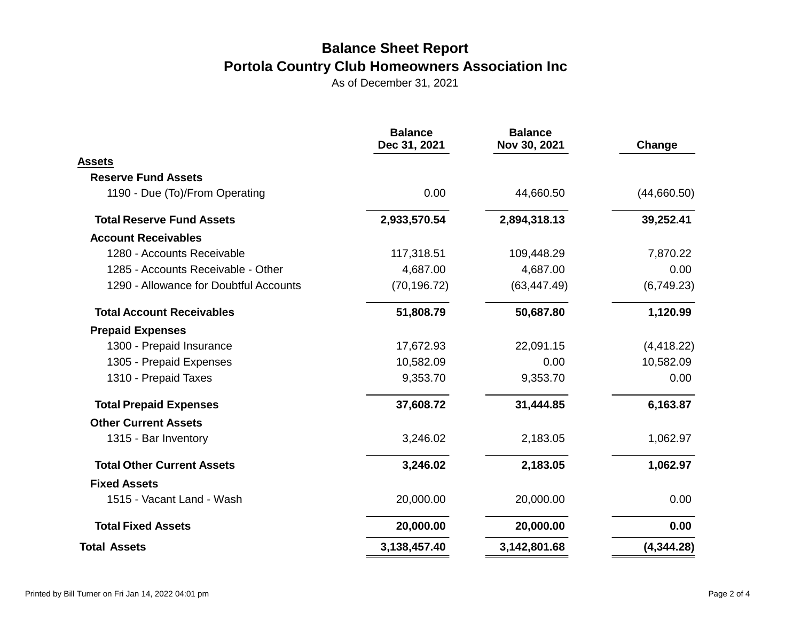|                                        | <b>Balance</b><br>Dec 31, 2021 | <b>Balance</b><br>Nov 30, 2021 | Change      |  |
|----------------------------------------|--------------------------------|--------------------------------|-------------|--|
| Assets                                 |                                |                                |             |  |
| <b>Reserve Fund Assets</b>             |                                |                                |             |  |
| 1190 - Due (To)/From Operating         | 0.00                           | 44,660.50                      | (44,660.50) |  |
| <b>Total Reserve Fund Assets</b>       | 2,933,570.54                   | 2,894,318.13                   | 39,252.41   |  |
| <b>Account Receivables</b>             |                                |                                |             |  |
| 1280 - Accounts Receivable             | 117,318.51                     | 109,448.29                     | 7,870.22    |  |
| 1285 - Accounts Receivable - Other     | 4,687.00                       | 4,687.00                       | 0.00        |  |
| 1290 - Allowance for Doubtful Accounts | (70, 196.72)                   | (63, 447.49)                   | (6,749.23)  |  |
| <b>Total Account Receivables</b>       | 51,808.79                      | 50,687.80                      | 1,120.99    |  |
| <b>Prepaid Expenses</b>                |                                |                                |             |  |
| 1300 - Prepaid Insurance               | 17,672.93                      | 22,091.15                      | (4, 418.22) |  |
| 1305 - Prepaid Expenses                | 10,582.09                      | 0.00                           | 10,582.09   |  |
| 1310 - Prepaid Taxes                   | 9,353.70                       | 9,353.70                       | 0.00        |  |
| <b>Total Prepaid Expenses</b>          | 37,608.72                      | 31,444.85                      | 6,163.87    |  |
| <b>Other Current Assets</b>            |                                |                                |             |  |
| 1315 - Bar Inventory                   | 3,246.02                       | 2,183.05                       | 1,062.97    |  |
| <b>Total Other Current Assets</b>      | 3,246.02                       | 2,183.05                       | 1,062.97    |  |
| <b>Fixed Assets</b>                    |                                |                                |             |  |
| 1515 - Vacant Land - Wash              | 20,000.00                      | 20,000.00                      | 0.00        |  |
| <b>Total Fixed Assets</b>              | 20,000.00                      | 20,000.00                      | 0.00        |  |
| <b>Total Assets</b>                    | 3,138,457.40                   | 3,142,801.68                   | (4,344.28)  |  |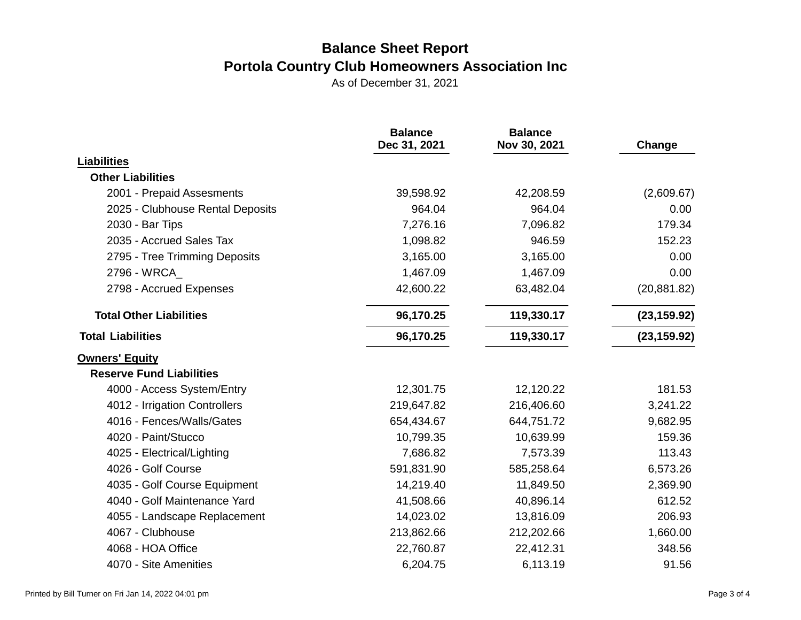|                                  | <b>Balance</b><br>Dec 31, 2021 | <b>Balance</b><br>Nov 30, 2021 | Change       |
|----------------------------------|--------------------------------|--------------------------------|--------------|
| <b>Liabilities</b>               |                                |                                |              |
| <b>Other Liabilities</b>         |                                |                                |              |
| 2001 - Prepaid Assesments        | 39,598.92                      | 42,208.59                      | (2,609.67)   |
| 2025 - Clubhouse Rental Deposits | 964.04                         | 964.04                         | 0.00         |
| 2030 - Bar Tips                  | 7,276.16                       | 7,096.82                       | 179.34       |
| 2035 - Accrued Sales Tax         | 1,098.82                       | 946.59                         | 152.23       |
| 2795 - Tree Trimming Deposits    | 3,165.00                       | 3,165.00                       | 0.00         |
| 2796 - WRCA                      | 1,467.09                       | 1,467.09                       | 0.00         |
| 2798 - Accrued Expenses          | 42,600.22                      | 63,482.04                      | (20, 881.82) |
| <b>Total Other Liabilities</b>   | 96,170.25                      | 119,330.17                     | (23, 159.92) |
| <b>Total Liabilities</b>         | 96,170.25                      | 119,330.17                     | (23, 159.92) |
| <b>Owners' Equity</b>            |                                |                                |              |
| <b>Reserve Fund Liabilities</b>  |                                |                                |              |
| 4000 - Access System/Entry       | 12,301.75                      | 12,120.22                      | 181.53       |
| 4012 - Irrigation Controllers    | 219,647.82                     | 216,406.60                     | 3,241.22     |
| 4016 - Fences/Walls/Gates        | 654,434.67                     | 644,751.72                     | 9,682.95     |
| 4020 - Paint/Stucco              | 10,799.35                      | 10,639.99                      | 159.36       |
| 4025 - Electrical/Lighting       | 7,686.82                       | 7,573.39                       | 113.43       |
| 4026 - Golf Course               | 591,831.90                     | 585,258.64                     | 6,573.26     |
| 4035 - Golf Course Equipment     | 14,219.40                      | 11,849.50                      | 2,369.90     |
| 4040 - Golf Maintenance Yard     | 41,508.66                      | 40,896.14                      | 612.52       |
| 4055 - Landscape Replacement     | 14,023.02                      | 13,816.09                      | 206.93       |
| 4067 - Clubhouse                 | 213,862.66                     | 212,202.66                     | 1,660.00     |
| 4068 - HOA Office                | 22,760.87                      | 22,412.31                      | 348.56       |
| 4070 - Site Amenities            | 6,204.75                       | 6,113.19                       | 91.56        |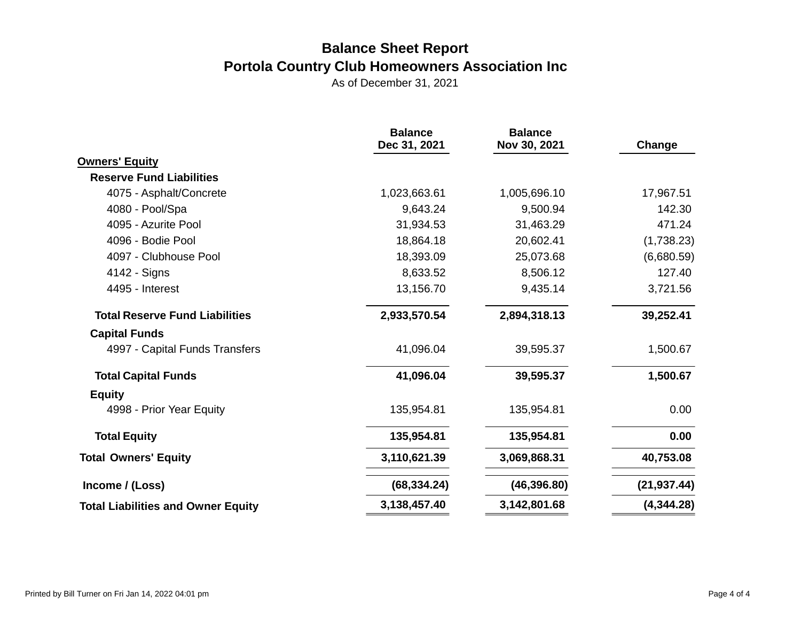| <b>Balance</b><br>Dec 31, 2021 | <b>Balance</b><br>Nov 30, 2021 | Change       |
|--------------------------------|--------------------------------|--------------|
|                                |                                |              |
|                                |                                |              |
| 1,023,663.61                   | 1,005,696.10                   | 17,967.51    |
| 9,643.24                       | 9,500.94                       | 142.30       |
| 31,934.53                      | 31,463.29                      | 471.24       |
| 18,864.18                      | 20,602.41                      | (1,738.23)   |
| 18,393.09                      | 25,073.68                      | (6,680.59)   |
| 8,633.52                       | 8,506.12                       | 127.40       |
| 13,156.70                      | 9,435.14                       | 3,721.56     |
| 2,933,570.54                   | 2,894,318.13                   | 39,252.41    |
|                                |                                |              |
| 41,096.04                      | 39,595.37                      | 1,500.67     |
| 41,096.04                      | 39,595.37                      | 1,500.67     |
|                                |                                |              |
| 135,954.81                     | 135,954.81                     | 0.00         |
| 135,954.81                     | 135,954.81                     | 0.00         |
| 3,110,621.39                   | 3,069,868.31                   | 40,753.08    |
| (68, 334.24)                   | (46, 396.80)                   | (21, 937.44) |
| 3,138,457.40                   | 3,142,801.68                   | (4,344.28)   |
|                                |                                |              |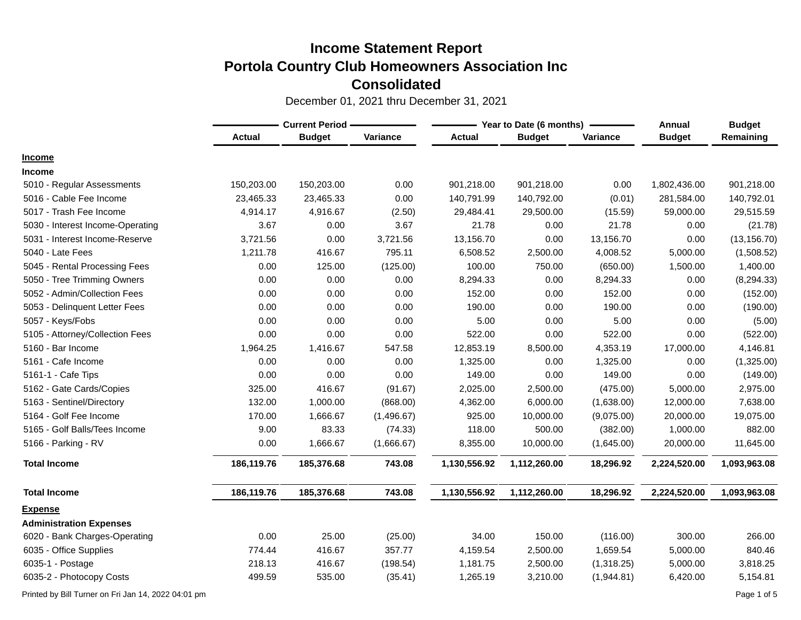December 01, 2021 thru December 31, 2021

|                                  |               | <b>Current Period -</b> |            |               | Year to Date (6 months) |            |               | <b>Budget</b> |
|----------------------------------|---------------|-------------------------|------------|---------------|-------------------------|------------|---------------|---------------|
|                                  | <b>Actual</b> | <b>Budget</b>           | Variance   | <b>Actual</b> | <b>Budget</b>           | Variance   | <b>Budget</b> | Remaining     |
| <b>Income</b>                    |               |                         |            |               |                         |            |               |               |
| <b>Income</b>                    |               |                         |            |               |                         |            |               |               |
| 5010 - Regular Assessments       | 150,203.00    | 150,203.00              | 0.00       | 901,218.00    | 901,218.00              | 0.00       | 1,802,436.00  | 901,218.00    |
| 5016 - Cable Fee Income          | 23,465.33     | 23,465.33               | 0.00       | 140,791.99    | 140,792.00              | (0.01)     | 281,584.00    | 140,792.01    |
| 5017 - Trash Fee Income          | 4,914.17      | 4,916.67                | (2.50)     | 29,484.41     | 29,500.00               | (15.59)    | 59,000.00     | 29,515.59     |
| 5030 - Interest Income-Operating | 3.67          | 0.00                    | 3.67       | 21.78         | 0.00                    | 21.78      | 0.00          | (21.78)       |
| 5031 - Interest Income-Reserve   | 3,721.56      | 0.00                    | 3,721.56   | 13,156.70     | 0.00                    | 13,156.70  | 0.00          | (13, 156.70)  |
| 5040 - Late Fees                 | 1,211.78      | 416.67                  | 795.11     | 6,508.52      | 2,500.00                | 4,008.52   | 5,000.00      | (1,508.52)    |
| 5045 - Rental Processing Fees    | 0.00          | 125.00                  | (125.00)   | 100.00        | 750.00                  | (650.00)   | 1,500.00      | 1,400.00      |
| 5050 - Tree Trimming Owners      | 0.00          | 0.00                    | 0.00       | 8,294.33      | 0.00                    | 8,294.33   | 0.00          | (8, 294.33)   |
| 5052 - Admin/Collection Fees     | 0.00          | 0.00                    | 0.00       | 152.00        | 0.00                    | 152.00     | 0.00          | (152.00)      |
| 5053 - Delinquent Letter Fees    | 0.00          | 0.00                    | 0.00       | 190.00        | 0.00                    | 190.00     | 0.00          | (190.00)      |
| 5057 - Keys/Fobs                 | 0.00          | 0.00                    | 0.00       | 5.00          | 0.00                    | 5.00       | 0.00          | (5.00)        |
| 5105 - Attorney/Collection Fees  | 0.00          | 0.00                    | 0.00       | 522.00        | 0.00                    | 522.00     | 0.00          | (522.00)      |
| 5160 - Bar Income                | 1,964.25      | 1,416.67                | 547.58     | 12,853.19     | 8,500.00                | 4,353.19   | 17,000.00     | 4,146.81      |
| 5161 - Cafe Income               | 0.00          | 0.00                    | 0.00       | 1,325.00      | 0.00                    | 1,325.00   | 0.00          | (1,325.00)    |
| 5161-1 - Cafe Tips               | 0.00          | 0.00                    | 0.00       | 149.00        | 0.00                    | 149.00     | 0.00          | (149.00)      |
| 5162 - Gate Cards/Copies         | 325.00        | 416.67                  | (91.67)    | 2,025.00      | 2,500.00                | (475.00)   | 5,000.00      | 2,975.00      |
| 5163 - Sentinel/Directory        | 132.00        | 1,000.00                | (868.00)   | 4,362.00      | 6,000.00                | (1,638.00) | 12,000.00     | 7,638.00      |
| 5164 - Golf Fee Income           | 170.00        | 1,666.67                | (1,496.67) | 925.00        | 10,000.00               | (9,075.00) | 20,000.00     | 19,075.00     |
| 5165 - Golf Balls/Tees Income    | 9.00          | 83.33                   | (74.33)    | 118.00        | 500.00                  | (382.00)   | 1,000.00      | 882.00        |
| 5166 - Parking - RV              | 0.00          | 1,666.67                | (1,666.67) | 8,355.00      | 10,000.00               | (1,645.00) | 20,000.00     | 11,645.00     |
| <b>Total Income</b>              | 186,119.76    | 185,376.68              | 743.08     | 1,130,556.92  | 1,112,260.00            | 18,296.92  | 2,224,520.00  | 1,093,963.08  |
| <b>Total Income</b>              | 186,119.76    | 185,376.68              | 743.08     | 1,130,556.92  | 1,112,260.00            | 18,296.92  | 2,224,520.00  | 1,093,963.08  |
| <b>Expense</b>                   |               |                         |            |               |                         |            |               |               |
| <b>Administration Expenses</b>   |               |                         |            |               |                         |            |               |               |
| 6020 - Bank Charges-Operating    | 0.00          | 25.00                   | (25.00)    | 34.00         | 150.00                  | (116.00)   | 300.00        | 266.00        |
| 6035 - Office Supplies           | 774.44        | 416.67                  | 357.77     | 4,159.54      | 2,500.00                | 1,659.54   | 5,000.00      | 840.46        |
| 6035-1 - Postage                 | 218.13        | 416.67                  | (198.54)   | 1,181.75      | 2,500.00                | (1,318.25) | 5,000.00      | 3,818.25      |
| 6035-2 - Photocopy Costs         | 499.59        | 535.00                  | (35.41)    | 1,265.19      | 3,210.00                | (1,944.81) | 6,420.00      | 5,154.81      |

Printed by Bill Turner on Fri Jan 14, 2022 04:01 pm Page 1 of 5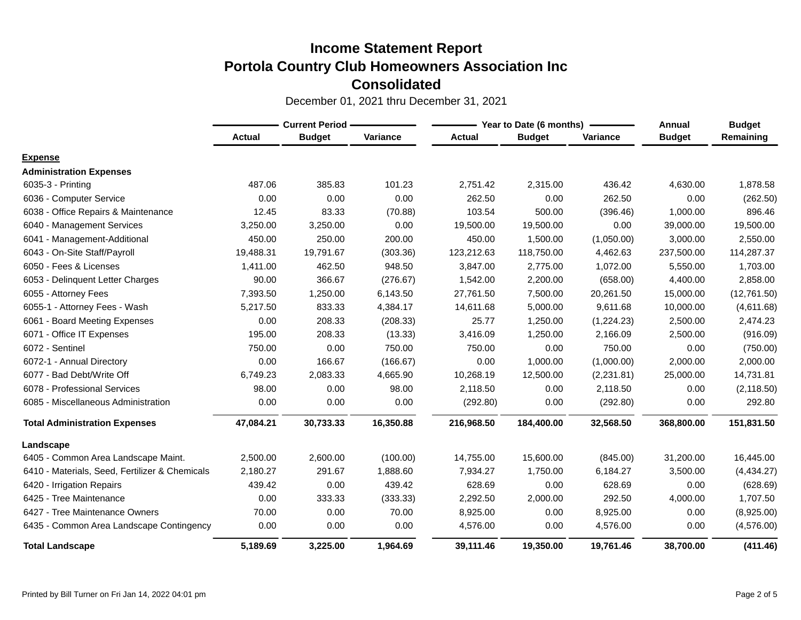|                                                | <b>Current Period -</b> |               |           |               | Year to Date (6 months) | Annual     | <b>Budget</b> |             |
|------------------------------------------------|-------------------------|---------------|-----------|---------------|-------------------------|------------|---------------|-------------|
|                                                | <b>Actual</b>           | <b>Budget</b> | Variance  | <b>Actual</b> | <b>Budget</b>           | Variance   | <b>Budget</b> | Remaining   |
| <b>Expense</b>                                 |                         |               |           |               |                         |            |               |             |
| <b>Administration Expenses</b>                 |                         |               |           |               |                         |            |               |             |
| 6035-3 - Printing                              | 487.06                  | 385.83        | 101.23    | 2,751.42      | 2,315.00                | 436.42     | 4,630.00      | 1,878.58    |
| 6036 - Computer Service                        | 0.00                    | 0.00          | 0.00      | 262.50        | 0.00                    | 262.50     | 0.00          | (262.50)    |
| 6038 - Office Repairs & Maintenance            | 12.45                   | 83.33         | (70.88)   | 103.54        | 500.00                  | (396.46)   | 1,000.00      | 896.46      |
| 6040 - Management Services                     | 3,250.00                | 3,250.00      | 0.00      | 19,500.00     | 19,500.00               | 0.00       | 39,000.00     | 19,500.00   |
| 6041 - Management-Additional                   | 450.00                  | 250.00        | 200.00    | 450.00        | 1,500.00                | (1,050.00) | 3,000.00      | 2,550.00    |
| 6043 - On-Site Staff/Payroll                   | 19,488.31               | 19,791.67     | (303.36)  | 123,212.63    | 118,750.00              | 4,462.63   | 237,500.00    | 114,287.37  |
| 6050 - Fees & Licenses                         | 1,411.00                | 462.50        | 948.50    | 3,847.00      | 2,775.00                | 1,072.00   | 5,550.00      | 1,703.00    |
| 6053 - Delinquent Letter Charges               | 90.00                   | 366.67        | (276.67)  | 1,542.00      | 2,200.00                | (658.00)   | 4,400.00      | 2,858.00    |
| 6055 - Attorney Fees                           | 7,393.50                | 1,250.00      | 6,143.50  | 27,761.50     | 7,500.00                | 20,261.50  | 15,000.00     | (12,761.50) |
| 6055-1 - Attorney Fees - Wash                  | 5,217.50                | 833.33        | 4,384.17  | 14,611.68     | 5,000.00                | 9,611.68   | 10,000.00     | (4,611.68)  |
| 6061 - Board Meeting Expenses                  | 0.00                    | 208.33        | (208.33)  | 25.77         | 1,250.00                | (1,224.23) | 2,500.00      | 2,474.23    |
| 6071 - Office IT Expenses                      | 195.00                  | 208.33        | (13.33)   | 3,416.09      | 1,250.00                | 2,166.09   | 2,500.00      | (916.09)    |
| 6072 - Sentinel                                | 750.00                  | 0.00          | 750.00    | 750.00        | 0.00                    | 750.00     | 0.00          | (750.00)    |
| 6072-1 - Annual Directory                      | 0.00                    | 166.67        | (166.67)  | 0.00          | 1,000.00                | (1,000.00) | 2,000.00      | 2,000.00    |
| 6077 - Bad Debt/Write Off                      | 6,749.23                | 2,083.33      | 4,665.90  | 10,268.19     | 12,500.00               | (2,231.81) | 25,000.00     | 14,731.81   |
| 6078 - Professional Services                   | 98.00                   | 0.00          | 98.00     | 2,118.50      | 0.00                    | 2,118.50   | 0.00          | (2, 118.50) |
| 6085 - Miscellaneous Administration            | 0.00                    | 0.00          | 0.00      | (292.80)      | 0.00                    | (292.80)   | 0.00          | 292.80      |
| <b>Total Administration Expenses</b>           | 47,084.21               | 30,733.33     | 16,350.88 | 216,968.50    | 184,400.00              | 32,568.50  | 368,800.00    | 151,831.50  |
| Landscape                                      |                         |               |           |               |                         |            |               |             |
| 6405 - Common Area Landscape Maint.            | 2,500.00                | 2,600.00      | (100.00)  | 14,755.00     | 15,600.00               | (845.00)   | 31,200.00     | 16,445.00   |
| 6410 - Materials, Seed, Fertilizer & Chemicals | 2,180.27                | 291.67        | 1,888.60  | 7,934.27      | 1,750.00                | 6,184.27   | 3,500.00      | (4,434.27)  |
| 6420 - Irrigation Repairs                      | 439.42                  | 0.00          | 439.42    | 628.69        | 0.00                    | 628.69     | 0.00          | (628.69)    |
| 6425 - Tree Maintenance                        | 0.00                    | 333.33        | (333.33)  | 2,292.50      | 2,000.00                | 292.50     | 4,000.00      | 1,707.50    |
| 6427 - Tree Maintenance Owners                 | 70.00                   | 0.00          | 70.00     | 8,925.00      | 0.00                    | 8,925.00   | 0.00          | (8,925.00)  |
| 6435 - Common Area Landscape Contingency       | 0.00                    | 0.00          | 0.00      | 4,576.00      | 0.00                    | 4,576.00   | 0.00          | (4,576.00)  |
| <b>Total Landscape</b>                         | 5,189.69                | 3,225.00      | 1,964.69  | 39,111.46     | 19,350.00               | 19,761.46  | 38,700.00     | (411.46)    |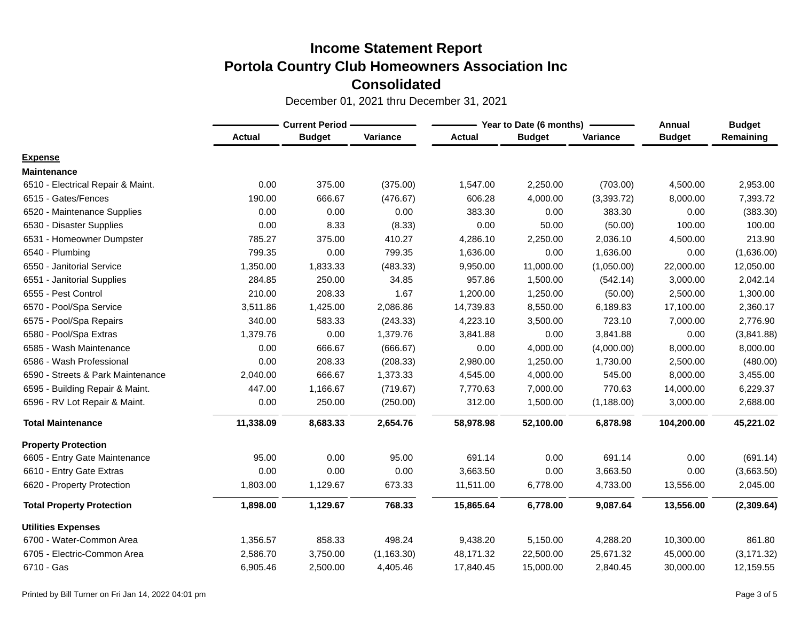|                                   | <b>Current Period -</b> |               |             |               | Year to Date (6 months) | Annual      | <b>Budget</b> |             |
|-----------------------------------|-------------------------|---------------|-------------|---------------|-------------------------|-------------|---------------|-------------|
|                                   | <b>Actual</b>           | <b>Budget</b> | Variance    | <b>Actual</b> | <b>Budget</b>           | Variance    | <b>Budget</b> | Remaining   |
| <b>Expense</b>                    |                         |               |             |               |                         |             |               |             |
| <b>Maintenance</b>                |                         |               |             |               |                         |             |               |             |
| 6510 - Electrical Repair & Maint. | 0.00                    | 375.00        | (375.00)    | 1,547.00      | 2,250.00                | (703.00)    | 4,500.00      | 2,953.00    |
| 6515 - Gates/Fences               | 190.00                  | 666.67        | (476.67)    | 606.28        | 4,000.00                | (3,393.72)  | 8,000.00      | 7,393.72    |
| 6520 - Maintenance Supplies       | 0.00                    | 0.00          | 0.00        | 383.30        | 0.00                    | 383.30      | 0.00          | (383.30)    |
| 6530 - Disaster Supplies          | 0.00                    | 8.33          | (8.33)      | 0.00          | 50.00                   | (50.00)     | 100.00        | 100.00      |
| 6531 - Homeowner Dumpster         | 785.27                  | 375.00        | 410.27      | 4,286.10      | 2,250.00                | 2,036.10    | 4,500.00      | 213.90      |
| 6540 - Plumbing                   | 799.35                  | 0.00          | 799.35      | 1,636.00      | 0.00                    | 1,636.00    | 0.00          | (1,636.00)  |
| 6550 - Janitorial Service         | 1,350.00                | 1,833.33      | (483.33)    | 9,950.00      | 11,000.00               | (1,050.00)  | 22,000.00     | 12,050.00   |
| 6551 - Janitorial Supplies        | 284.85                  | 250.00        | 34.85       | 957.86        | 1,500.00                | (542.14)    | 3,000.00      | 2,042.14    |
| 6555 - Pest Control               | 210.00                  | 208.33        | 1.67        | 1,200.00      | 1,250.00                | (50.00)     | 2,500.00      | 1,300.00    |
| 6570 - Pool/Spa Service           | 3,511.86                | 1,425.00      | 2,086.86    | 14,739.83     | 8,550.00                | 6,189.83    | 17,100.00     | 2,360.17    |
| 6575 - Pool/Spa Repairs           | 340.00                  | 583.33        | (243.33)    | 4,223.10      | 3,500.00                | 723.10      | 7,000.00      | 2,776.90    |
| 6580 - Pool/Spa Extras            | 1,379.76                | 0.00          | 1,379.76    | 3,841.88      | 0.00                    | 3,841.88    | 0.00          | (3,841.88)  |
| 6585 - Wash Maintenance           | 0.00                    | 666.67        | (666.67)    | 0.00          | 4,000.00                | (4,000.00)  | 8,000.00      | 8,000.00    |
| 6586 - Wash Professional          | 0.00                    | 208.33        | (208.33)    | 2,980.00      | 1,250.00                | 1,730.00    | 2,500.00      | (480.00)    |
| 6590 - Streets & Park Maintenance | 2,040.00                | 666.67        | 1,373.33    | 4,545.00      | 4,000.00                | 545.00      | 8,000.00      | 3,455.00    |
| 6595 - Building Repair & Maint.   | 447.00                  | 1,166.67      | (719.67)    | 7,770.63      | 7,000.00                | 770.63      | 14,000.00     | 6,229.37    |
| 6596 - RV Lot Repair & Maint.     | 0.00                    | 250.00        | (250.00)    | 312.00        | 1,500.00                | (1, 188.00) | 3,000.00      | 2,688.00    |
| <b>Total Maintenance</b>          | 11,338.09               | 8,683.33      | 2,654.76    | 58,978.98     | 52,100.00               | 6,878.98    | 104,200.00    | 45,221.02   |
| <b>Property Protection</b>        |                         |               |             |               |                         |             |               |             |
| 6605 - Entry Gate Maintenance     | 95.00                   | 0.00          | 95.00       | 691.14        | 0.00                    | 691.14      | 0.00          | (691.14)    |
| 6610 - Entry Gate Extras          | 0.00                    | 0.00          | 0.00        | 3,663.50      | 0.00                    | 3,663.50    | 0.00          | (3,663.50)  |
| 6620 - Property Protection        | 1,803.00                | 1,129.67      | 673.33      | 11,511.00     | 6,778.00                | 4,733.00    | 13,556.00     | 2,045.00    |
| <b>Total Property Protection</b>  | 1,898.00                | 1,129.67      | 768.33      | 15,865.64     | 6,778.00                | 9,087.64    | 13,556.00     | (2,309.64)  |
| <b>Utilities Expenses</b>         |                         |               |             |               |                         |             |               |             |
| 6700 - Water-Common Area          | 1,356.57                | 858.33        | 498.24      | 9,438.20      | 5,150.00                | 4,288.20    | 10,300.00     | 861.80      |
| 6705 - Electric-Common Area       | 2,586.70                | 3,750.00      | (1, 163.30) | 48,171.32     | 22,500.00               | 25,671.32   | 45,000.00     | (3, 171.32) |
| 6710 - Gas                        | 6,905.46                | 2,500.00      | 4,405.46    | 17,840.45     | 15,000.00               | 2,840.45    | 30,000.00     | 12,159.55   |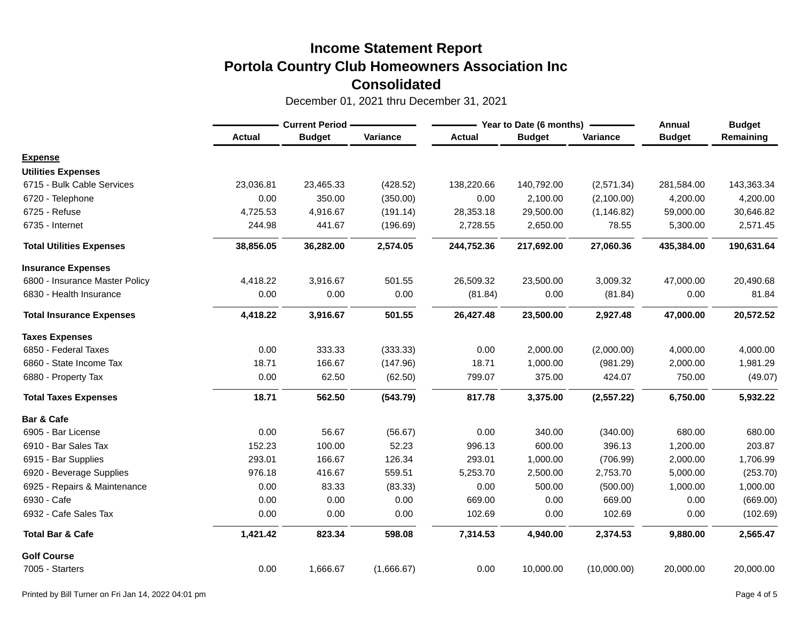|                                 | <b>Current Period -</b> |               |            |               | Year to Date (6 months) | Annual      | <b>Budget</b> |            |
|---------------------------------|-------------------------|---------------|------------|---------------|-------------------------|-------------|---------------|------------|
|                                 | <b>Actual</b>           | <b>Budget</b> | Variance   | <b>Actual</b> | <b>Budget</b>           | Variance    | <b>Budget</b> | Remaining  |
| <b>Expense</b>                  |                         |               |            |               |                         |             |               |            |
| <b>Utilities Expenses</b>       |                         |               |            |               |                         |             |               |            |
| 6715 - Bulk Cable Services      | 23,036.81               | 23,465.33     | (428.52)   | 138,220.66    | 140,792.00              | (2,571.34)  | 281,584.00    | 143,363.34 |
| 6720 - Telephone                | 0.00                    | 350.00        | (350.00)   | 0.00          | 2,100.00                | (2,100.00)  | 4,200.00      | 4,200.00   |
| 6725 - Refuse                   | 4,725.53                | 4,916.67      | (191.14)   | 28,353.18     | 29,500.00               | (1, 146.82) | 59,000.00     | 30,646.82  |
| 6735 - Internet                 | 244.98                  | 441.67        | (196.69)   | 2,728.55      | 2,650.00                | 78.55       | 5,300.00      | 2,571.45   |
| <b>Total Utilities Expenses</b> | 38,856.05               | 36,282.00     | 2,574.05   | 244,752.36    | 217,692.00              | 27,060.36   | 435,384.00    | 190,631.64 |
| <b>Insurance Expenses</b>       |                         |               |            |               |                         |             |               |            |
| 6800 - Insurance Master Policy  | 4,418.22                | 3,916.67      | 501.55     | 26,509.32     | 23,500.00               | 3,009.32    | 47,000.00     | 20,490.68  |
| 6830 - Health Insurance         | 0.00                    | 0.00          | 0.00       | (81.84)       | 0.00                    | (81.84)     | 0.00          | 81.84      |
| <b>Total Insurance Expenses</b> | 4,418.22                | 3,916.67      | 501.55     | 26,427.48     | 23,500.00               | 2,927.48    | 47,000.00     | 20,572.52  |
| <b>Taxes Expenses</b>           |                         |               |            |               |                         |             |               |            |
| 6850 - Federal Taxes            | 0.00                    | 333.33        | (333.33)   | 0.00          | 2,000.00                | (2,000.00)  | 4,000.00      | 4,000.00   |
| 6860 - State Income Tax         | 18.71                   | 166.67        | (147.96)   | 18.71         | 1,000.00                | (981.29)    | 2,000.00      | 1,981.29   |
| 6880 - Property Tax             | 0.00                    | 62.50         | (62.50)    | 799.07        | 375.00                  | 424.07      | 750.00        | (49.07)    |
| <b>Total Taxes Expenses</b>     | 18.71                   | 562.50        | (543.79)   | 817.78        | 3,375.00                | (2, 557.22) | 6,750.00      | 5,932.22   |
| Bar & Cafe                      |                         |               |            |               |                         |             |               |            |
| 6905 - Bar License              | 0.00                    | 56.67         | (56.67)    | 0.00          | 340.00                  | (340.00)    | 680.00        | 680.00     |
| 6910 - Bar Sales Tax            | 152.23                  | 100.00        | 52.23      | 996.13        | 600.00                  | 396.13      | 1,200.00      | 203.87     |
| 6915 - Bar Supplies             | 293.01                  | 166.67        | 126.34     | 293.01        | 1,000.00                | (706.99)    | 2,000.00      | 1,706.99   |
| 6920 - Beverage Supplies        | 976.18                  | 416.67        | 559.51     | 5,253.70      | 2,500.00                | 2,753.70    | 5,000.00      | (253.70)   |
| 6925 - Repairs & Maintenance    | 0.00                    | 83.33         | (83.33)    | 0.00          | 500.00                  | (500.00)    | 1,000.00      | 1,000.00   |
| 6930 - Cafe                     | 0.00                    | 0.00          | 0.00       | 669.00        | 0.00                    | 669.00      | 0.00          | (669.00)   |
| 6932 - Cafe Sales Tax           | 0.00                    | 0.00          | 0.00       | 102.69        | 0.00                    | 102.69      | 0.00          | (102.69)   |
| <b>Total Bar &amp; Cafe</b>     | 1,421.42                | 823.34        | 598.08     | 7,314.53      | 4,940.00                | 2,374.53    | 9,880.00      | 2,565.47   |
| <b>Golf Course</b>              |                         |               |            |               |                         |             |               |            |
| 7005 - Starters                 | 0.00                    | 1,666.67      | (1,666.67) | 0.00          | 10,000.00               | (10,000.00) | 20,000.00     | 20,000.00  |